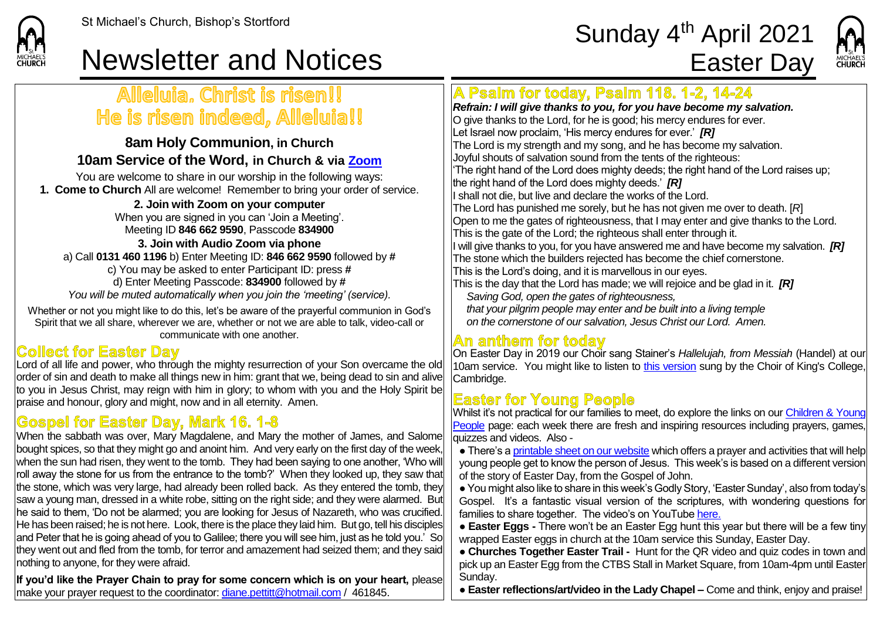

# St Michael's Church, Bishop's Stortford  $\textsf{Sunday}\ 4^{\textsf{th}}\ \textsf{April}\ 2021$



# Newsletter and Notices **Easter Day**

## Alleluia. Christ is risen!! He is risen indeed, Alleluia!!

#### **8am Holy Communion, in Church 10am Service of the Word, in Church & via [Zoom](https://zoom.us/)**

You are welcome to share in our worship in the following ways: **1. Come to Church** All are welcome! Remember to bring your order of service.

#### **2. Join with Zoom on your computer**

When you are signed in you can 'Join a Meeting'. Meeting ID **846 662 9590**, Passcode **834900**

**3. Join with Audio Zoom via phone**  a) Call **0131 460 1196** b) Enter Meeting ID: **846 662 9590** followed by **#** c) You may be asked to enter Participant ID: press **#** d) Enter Meeting Passcode: **834900** followed by **#** *You will be muted automatically when you join the 'meeting' (service).*

Whether or not you might like to do this, let's be aware of the prayerful communion in God's Spirit that we all share, wherever we are, whether or not we are able to talk, video-call or communicate with one another.

#### **Collect for Easter Day**

Lord of all life and power, who through the mighty resurrection of your Son overcame the old order of sin and death to make all things new in him: grant that we, being dead to sin and alive to you in Jesus Christ, may reign with him in glory; to whom with you and the Holy Spirit be praise and honour, glory and might, now and in all eternity. Amen.

## **Gospel for Easter Day, Mark 16, 1-8**

When the sabbath was over, Mary Magdalene, and Mary the mother of James, and Salome bought spices, so that they might go and anoint him. And very early on the first day of the week, when the sun had risen, they went to the tomb. They had been saying to one another. Who will roll away the stone for us from the entrance to the tomb?' When they looked up, they saw that the stone, which was very large, had already been rolled back. As they entered the tomb, they saw a young man, dressed in a white robe, sitting on the right side; and they were alarmed. But he said to them, 'Do not be alarmed; you are looking for Jesus of Nazareth, who was crucified. He has been raised; he is not here. Look, there is the place they laid him. But go, tell his disciples and Peter that he is going ahead of you to Galilee; there you will see him, just as he told you.' So they went out and fled from the tomb, for terror and amazement had seized them; and they said nothing to anyone, for they were afraid.

**If you'd like the Prayer Chain to pray for some concern which is on your heart,** please make your prayer request to the coordinator: [diane.pettitt@hotmail.com](mailto:diane.pettitt@hotmail.com) / 461845.

# A Psalm for today, Psalm 118. 1-2, 14-24

*Refrain: I will give thanks to you, for you have become my salvation.* O give thanks to the Lord, for he is good; his mercy endures for ever. Let Israel now proclaim, 'His mercy endures for ever.' *[R]* The Lord is my strength and my song, and he has become my salvation. Joyful shouts of salvation sound from the tents of the righteous: 'The right hand of the Lord does mighty deeds; the right hand of the Lord raises up; the right hand of the Lord does mighty deeds.' *[R]* If shall not die, but live and declare the works of the Lord. The Lord has punished me sorely, but he has not given me over to death. [*R*] Open to me the gates of righteousness, that I may enter and give thanks to the Lord. This is the gate of the Lord; the righteous shall enter through it. I will give thanks to you, for you have answered me and have become my salvation. *[R]* The stone which the builders rejected has become the chief cornerstone. This is the Lord's doing, and it is marvellous in our eyes. This is the day that the Lord has made; we will rejoice and be glad in it. *[R] Saving God, open the gates of righteousness, that your pilgrim people may enter and be built into a living temple on the cornerstone of our salvation, Jesus Christ our Lord. Amen.*

### An anthem for today

On Easter Day in 2019 our Choir sang Stainer's *Hallelujah, from Messiah* (Handel) at our 10am service. You might like to listen to [this version](https://www.youtube.com/watch?v=C3TUWU_yg4s) sung by the Choir of King's College, Cambridge.

#### **Easter for Young People**

Whilst it's not practical for our families to meet, do explore the links on ou[r Children &](https://saintmichaelweb.org.uk/Groups/310496/Children_and_Young.aspx) Young [People](https://saintmichaelweb.org.uk/Groups/310496/Children_and_Young.aspx) page: each week there are fresh and inspiring resources including prayers, games, quizzes and videos.Also -

• There's a [printable sheet on our website](https://saintmichaelweb.org.uk/Groups/310496/Children_and_Young.aspx) which offers a prayer and activities that will help young people get to know the person of Jesus. This week's is based on a different version of the story of Easter Day, from the Gospel of John.

● You might also like to share in this week's Godly Story, 'Easter Sunday', also from today's Gospel. It's a fantastic visual version of the scriptures, with wondering questions for families to share together. The video's on YouTube [here.](https://www.youtube.com/watch?v=rQ9hXPy9vBE&t=29s)

● **Easter Eggs -** There won't be an Easter Egg hunt this year but there will be a few tiny wrapped Easter eggs in church at the 10am service this Sunday, Easter Day.

● **Churches Together Easter Trail -** Hunt for the QR video and quiz codes in town and pick up an Easter Egg from the CTBS Stall in Market Square, from 10am-4pm until Easter Sunday.

● **Easter reflections/art/video in the Lady Chapel –** Come and think, enjoy and praise!